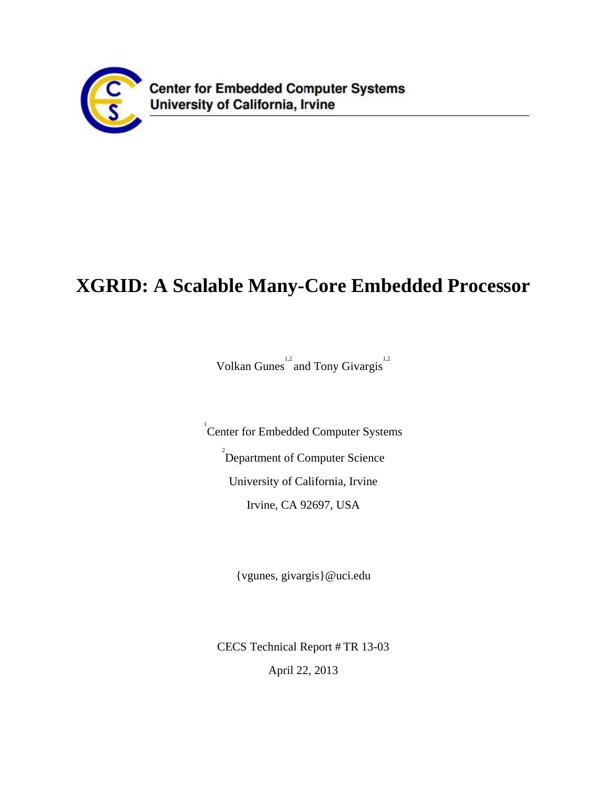

# **XGRID: A Scalable Many-Core Embedded Processor**

Volkan Gunes<sup>1,2</sup> and Tony Givargis<sup>1,2</sup>

<sup>1</sup> Center for Embedded Computer Systems <sup>2</sup> Department of Computer Science University of California, Irvine Irvine, CA 92697, USA

{vgunes, givargis}@uci.edu

CECS Technical Report # TR 13-03 April 22, 2013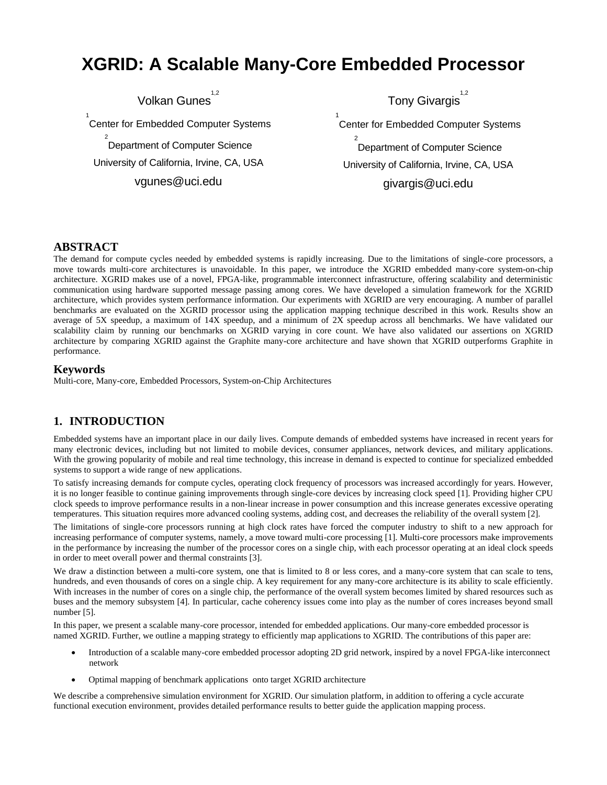## **XGRID: A Scalable Many-Core Embedded Processor**

Volkan Gunes<sup>1,2</sup>

1 Center for Embedded Computer Systems 2 Department of Computer Science University of California, Irvine, CA, USA

vgunes@uci.edu

Tony Givargis<sup>1,2</sup>

1 Center for Embedded Computer Systems

2 Department of Computer Science University of California, Irvine, CA, USA givargis@uci.edu

#### **ABSTRACT**

The demand for compute cycles needed by embedded systems is rapidly increasing. Due to the limitations of single-core processors, a move towards multi-core architectures is unavoidable. In this paper, we introduce the XGRID embedded many-core system-on-chip architecture. XGRID makes use of a novel, FPGA-like, programmable interconnect infrastructure, offering scalability and deterministic communication using hardware supported message passing among cores. We have developed a simulation framework for the XGRID architecture, which provides system performance information. Our experiments with XGRID are very encouraging. A number of parallel benchmarks are evaluated on the XGRID processor using the application mapping technique described in this work. Results show an average of 5X speedup, a maximum of 14X speedup, and a minimum of 2X speedup across all benchmarks. We have validated our scalability claim by running our benchmarks on XGRID varying in core count. We have also validated our assertions on XGRID architecture by comparing XGRID against the Graphite many-core architecture and have shown that XGRID outperforms Graphite in performance.

### **Keywords**

Multi-core, Many-core, Embedded Processors, System-on-Chip Architectures

## **1. INTRODUCTION**

Embedded systems have an important place in our daily lives. Compute demands of embedded systems have increased in recent years for many electronic devices, including but not limited to mobile devices, consumer appliances, network devices, and military applications. With the growing popularity of mobile and real time technology, this increase in demand is expected to continue for specialized embedded systems to support a wide range of new applications.

To satisfy increasing demands for compute cycles, operating clock frequency of processors was increased accordingly for years. However, it is no longer feasible to continue gaining improvements through single-core devices by increasing clock speed [1]. Providing higher CPU clock speeds to improve performance results in a non-linear increase in power consumption and this increase generates excessive operating temperatures. This situation requires more advanced cooling systems, adding cost, and decreases the reliability of the overall system [2].

The limitations of single-core processors running at high clock rates have forced the computer industry to shift to a new approach for increasing performance of computer systems, namely, a move toward multi-core processing [1]. Multi-core processors make improvements in the performance by increasing the number of the processor cores on a single chip, with each processor operating at an ideal clock speeds in order to meet overall power and thermal constraints [3].

We draw a distinction between a multi-core system, one that is limited to 8 or less cores, and a many-core system that can scale to tens, hundreds, and even thousands of cores on a single chip. A key requirement for any many-core architecture is its ability to scale efficiently. With increases in the number of cores on a single chip, the performance of the overall system becomes limited by shared resources such as buses and the memory subsystem [4]. In particular, cache coherency issues come into play as the number of cores increases beyond small number [5].

In this paper, we present a scalable many-core processor, intended for embedded applications. Our many-core embedded processor is named XGRID. Further, we outline a mapping strategy to efficiently map applications to XGRID. The contributions of this paper are:

- Introduction of a scalable many-core embedded processor adopting 2D grid network, inspired by a novel FPGA-like interconnect network
- Optimal mapping of benchmark applications onto target XGRID architecture

We describe a comprehensive simulation environment for XGRID. Our simulation platform, in addition to offering a cycle accurate functional execution environment, provides detailed performance results to better guide the application mapping process.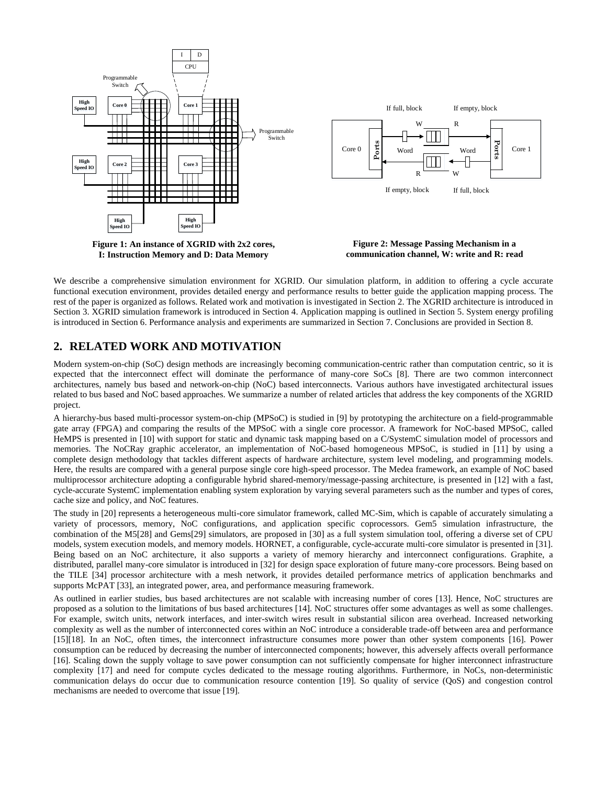

We describe a comprehensive simulation environment for XGRID. Our simulation platform, in addition to offering a cycle accurate functional execution environment, provides detailed energy and performance results to better guide the application mapping process. The rest of the paper is organized as follows. Related work and motivation is investigated in Section 2. The XGRID architecture is introduced in Section 3. XGRID simulation framework is introduced in Section 4. Application mapping is outlined in Section 5. System energy profiling is introduced in Section 6. Performance analysis and experiments are summarized in Section 7. Conclusions are provided in Section 8.

## **2. RELATED WORK AND MOTIVATION**

Modern system-on-chip (SoC) design methods are increasingly becoming communication-centric rather than computation centric, so it is expected that the interconnect effect will dominate the performance of many-core SoCs [8]. There are two common interconnect architectures, namely bus based and network-on-chip (NoC) based interconnects. Various authors have investigated architectural issues related to bus based and NoC based approaches. We summarize a number of related articles that address the key components of the XGRID project.

A hierarchy-bus based multi-processor system-on-chip (MPSoC) is studied in [9] by prototyping the architecture on a field-programmable gate array (FPGA) and comparing the results of the MPSoC with a single core processor. A framework for NoC-based MPSoC, called HeMPS is presented in [10] with support for static and dynamic task mapping based on a C/SystemC simulation model of processors and memories. The NoCRay graphic accelerator, an implementation of NoC-based homogeneous MPSoC, is studied in [11] by using a complete design methodology that tackles different aspects of hardware architecture, system level modeling, and programming models. Here, the results are compared with a general purpose single core high-speed processor. The Medea framework, an example of NoC based multiprocessor architecture adopting a configurable hybrid shared-memory/message-passing architecture, is presented in [12] with a fast, cycle-accurate SystemC implementation enabling system exploration by varying several parameters such as the number and types of cores, cache size and policy, and NoC features.

The study in [20] represents a heterogeneous multi-core simulator framework, called MC-Sim, which is capable of accurately simulating a variety of processors, memory, NoC configurations, and application specific coprocessors. Gem5 simulation infrastructure, the combination of the M5[28] and Gems[29] simulators, are proposed in [30] as a full system simulation tool, offering a diverse set of CPU models, system execution models, and memory models. HORNET, a configurable, cycle-accurate multi-core simulator is presented in [31]. Being based on an NoC architecture, it also supports a variety of memory hierarchy and interconnect configurations. Graphite, a distributed, parallel many-core simulator is introduced in [32] for design space exploration of future many-core processors. Being based on the TILE [34] processor architecture with a mesh network, it provides detailed performance metrics of application benchmarks and supports McPAT [33], an integrated power, area, and performance measuring framework.

As outlined in earlier studies, bus based architectures are not scalable with increasing number of cores [13]. Hence, NoC structures are proposed as a solution to the limitations of bus based architectures [14]. NoC structures offer some advantages as well as some challenges. For example, switch units, network interfaces, and inter-switch wires result in substantial silicon area overhead. Increased networking complexity as well as the number of interconnected cores within an NoC introduce a considerable trade-off between area and performance [15][18]. In an NoC, often times, the interconnect infrastructure consumes more power than other system components [16]. Power consumption can be reduced by decreasing the number of interconnected components; however, this adversely affects overall performance [16]. Scaling down the supply voltage to save power consumption can not sufficiently compensate for higher interconnect infrastructure complexity [17] and need for compute cycles dedicated to the message routing algorithms. Furthermore, in NoCs, non-deterministic communication delays do occur due to communication resource contention [19]. So quality of service (QoS) and congestion control mechanisms are needed to overcome that issue [19].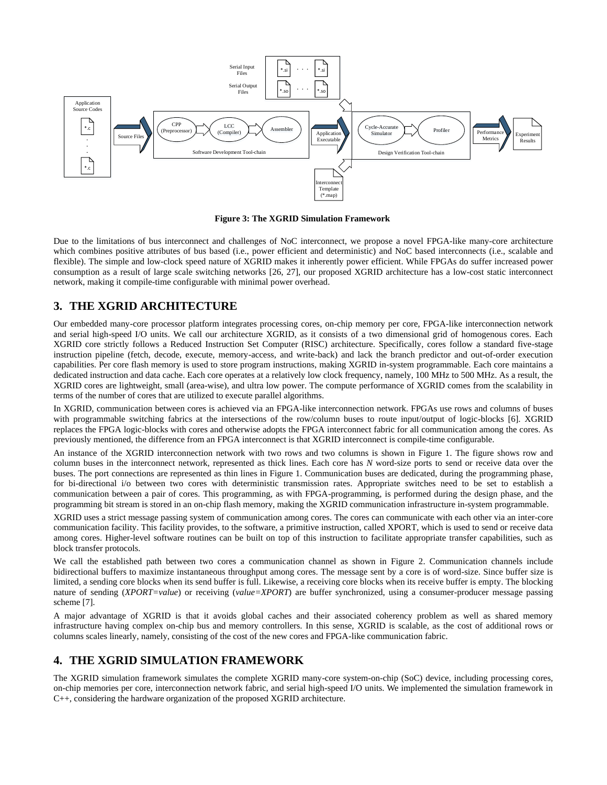

**Figure 3: The XGRID Simulation Framework**

Due to the limitations of bus interconnect and challenges of NoC interconnect, we propose a novel FPGA-like many-core architecture which combines positive attributes of bus based (i.e., power efficient and deterministic) and NoC based interconnects (i.e., scalable and flexible). The simple and low-clock speed nature of XGRID makes it inherently power efficient. While FPGAs do suffer increased power consumption as a result of large scale switching networks [26, 27], our proposed XGRID architecture has a low-cost static interconnect network, making it compile-time configurable with minimal power overhead.

## **3. THE XGRID ARCHITECTURE**

Our embedded many-core processor platform integrates processing cores, on-chip memory per core, FPGA-like interconnection network and serial high-speed I/O units. We call our architecture XGRID, as it consists of a two dimensional grid of homogenous cores. Each XGRID core strictly follows a Reduced Instruction Set Computer (RISC) architecture. Specifically, cores follow a standard five-stage instruction pipeline (fetch, decode, execute, memory-access, and write-back) and lack the branch predictor and out-of-order execution capabilities. Per core flash memory is used to store program instructions, making XGRID in-system programmable. Each core maintains a dedicated instruction and data cache. Each core operates at a relatively low clock frequency, namely, 100 MHz to 500 MHz. As a result, the XGRID cores are lightweight, small (area-wise), and ultra low power. The compute performance of XGRID comes from the scalability in terms of the number of cores that are utilized to execute parallel algorithms.

In XGRID, communication between cores is achieved via an FPGA-like interconnection network. FPGAs use rows and columns of buses with programmable switching fabrics at the intersections of the row/column buses to route input/output of logic-blocks [6]. XGRID replaces the FPGA logic-blocks with cores and otherwise adopts the FPGA interconnect fabric for all communication among the cores. As previously mentioned, the difference from an FPGA interconnect is that XGRID interconnect is compile-time configurable.

An instance of the XGRID interconnection network with two rows and two columns is shown in Figure 1. The figure shows row and column buses in the interconnect network, represented as thick lines. Each core has *N* word-size ports to send or receive data over the buses. The port connections are represented as thin lines in Figure 1. Communication buses are dedicated, during the programming phase, for bi-directional i/o between two cores with deterministic transmission rates. Appropriate switches need to be set to establish a communication between a pair of cores. This programming, as with FPGA-programming, is performed during the design phase, and the programming bit stream is stored in an on-chip flash memory, making the XGRID communication infrastructure in-system programmable.

XGRID uses a strict message passing system of communication among cores. The cores can communicate with each other via an inter-core communication facility. This facility provides, to the software, a primitive instruction, called XPORT, which is used to send or receive data among cores. Higher-level software routines can be built on top of this instruction to facilitate appropriate transfer capabilities, such as block transfer protocols.

We call the established path between two cores a communication channel as shown in Figure 2. Communication channels include bidirectional buffers to maximize instantaneous throughput among cores. The message sent by a core is of word-size. Since buffer size is limited, a sending core blocks when its send buffer is full. Likewise, a receiving core blocks when its receive buffer is empty. The blocking nature of sending (*XPORT=value*) or receiving (*value=XPORT*) are buffer synchronized, using a consumer-producer message passing scheme [7].

A major advantage of XGRID is that it avoids global caches and their associated coherency problem as well as shared memory infrastructure having complex on-chip bus and memory controllers. In this sense, XGRID is scalable, as the cost of additional rows or columns scales linearly, namely, consisting of the cost of the new cores and FPGA-like communication fabric.

## **4. THE XGRID SIMULATION FRAMEWORK**

The XGRID simulation framework simulates the complete XGRID many-core system-on-chip (SoC) device, including processing cores, on-chip memories per core, interconnection network fabric, and serial high-speed I/O units. We implemented the simulation framework in C++, considering the hardware organization of the proposed XGRID architecture.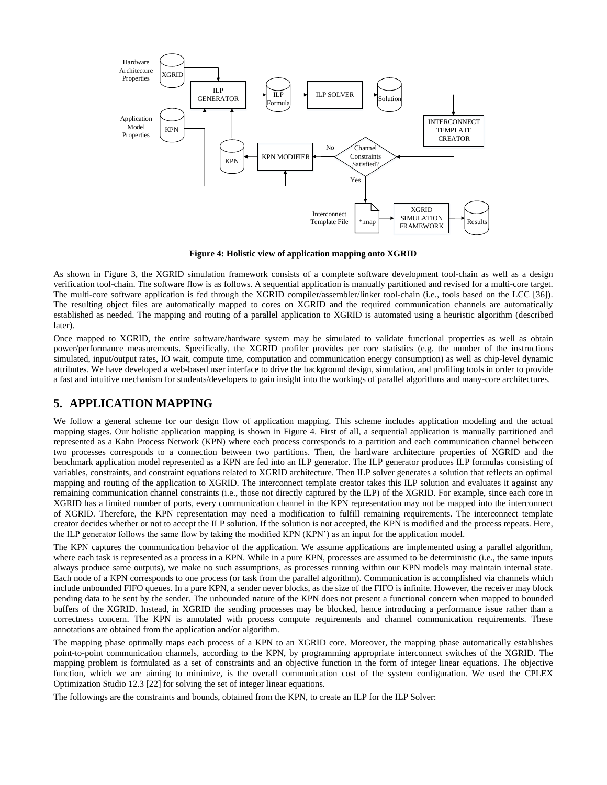

**Figure 4: Holistic view of application mapping onto XGRID**

As shown in Figure 3, the XGRID simulation framework consists of a complete software development tool-chain as well as a design verification tool-chain. The software flow is as follows. A sequential application is manually partitioned and revised for a multi-core target. The multi-core software application is fed through the XGRID compiler/assembler/linker tool-chain (i.e., tools based on the LCC [36]). The resulting object files are automatically mapped to cores on XGRID and the required communication channels are automatically established as needed. The mapping and routing of a parallel application to XGRID is automated using a heuristic algorithm (described later).

Once mapped to XGRID, the entire software/hardware system may be simulated to validate functional properties as well as obtain power/performance measurements. Specifically, the XGRID profiler provides per core statistics (e.g. the number of the instructions simulated, input/output rates, IO wait, compute time, computation and communication energy consumption) as well as chip-level dynamic attributes. We have developed a web-based user interface to drive the background design, simulation, and profiling tools in order to provide a fast and intuitive mechanism for students/developers to gain insight into the workings of parallel algorithms and many-core architectures.

## **5. APPLICATION MAPPING**

We follow a general scheme for our design flow of application mapping. This scheme includes application modeling and the actual mapping stages. Our holistic application mapping is shown in Figure 4. First of all, a sequential application is manually partitioned and represented as a Kahn Process Network (KPN) where each process corresponds to a partition and each communication channel between two processes corresponds to a connection between two partitions. Then, the hardware architecture properties of XGRID and the benchmark application model represented as a KPN are fed into an ILP generator. The ILP generator produces ILP formulas consisting of variables, constraints, and constraint equations related to XGRID architecture. Then ILP solver generates a solution that reflects an optimal mapping and routing of the application to XGRID. The interconnect template creator takes this ILP solution and evaluates it against any remaining communication channel constraints (i.e., those not directly captured by the ILP) of the XGRID. For example, since each core in XGRID has a limited number of ports, every communication channel in the KPN representation may not be mapped into the interconnect of XGRID. Therefore, the KPN representation may need a modification to fulfill remaining requirements. The interconnect template creator decides whether or not to accept the ILP solution. If the solution is not accepted, the KPN is modified and the process repeats. Here, the ILP generator follows the same flow by taking the modified KPN (KPN') as an input for the application model.

The KPN captures the communication behavior of the application. We assume applications are implemented using a parallel algorithm, where each task is represented as a process in a KPN. While in a pure KPN, processes are assumed to be deterministic (i.e., the same inputs always produce same outputs), we make no such assumptions, as processes running within our KPN models may maintain internal state. Each node of a KPN corresponds to one process (or task from the parallel algorithm). Communication is accomplished via channels which include unbounded FIFO queues. In a pure KPN, a sender never blocks, as the size of the FIFO is infinite. However, the receiver may block pending data to be sent by the sender. The unbounded nature of the KPN does not present a functional concern when mapped to bounded buffers of the XGRID. Instead, in XGRID the sending processes may be blocked, hence introducing a performance issue rather than a correctness concern. The KPN is annotated with process compute requirements and channel communication requirements. These annotations are obtained from the application and/or algorithm.

The mapping phase optimally maps each process of a KPN to an XGRID core. Moreover, the mapping phase automatically establishes point-to-point communication channels, according to the KPN, by programming appropriate interconnect switches of the XGRID. The mapping problem is formulated as a set of constraints and an objective function in the form of integer linear equations. The objective function, which we are aiming to minimize, is the overall communication cost of the system configuration. We used the CPLEX Optimization Studio 12.3 [22] for solving the set of integer linear equations.

The followings are the constraints and bounds, obtained from the KPN, to create an ILP for the ILP Solver: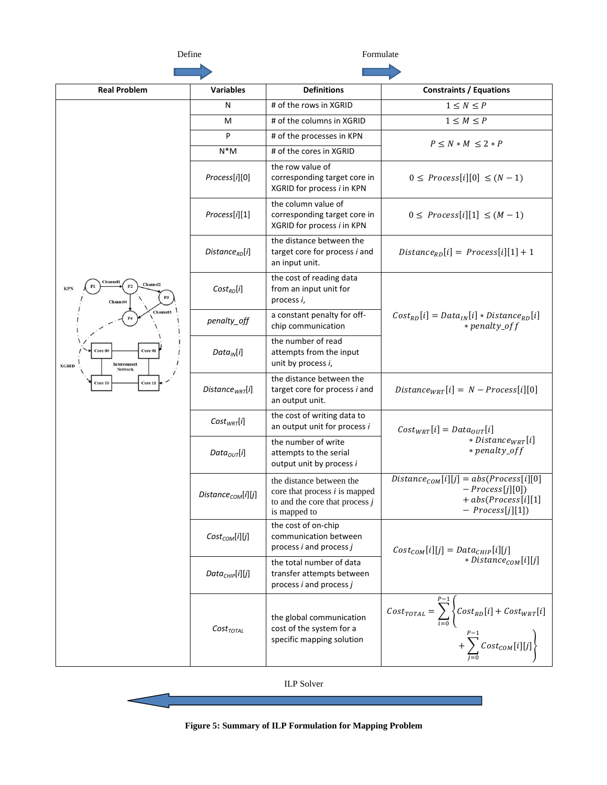$\overline{\phantom{0}}$ 

Define Formulate

| <b>Real Problem</b>                                                                                                                                                                                        | <b>Variables</b>            | <b>Definitions</b>                                                                                              | <b>Constraints / Equations</b>                                                                                                                               |  |  |
|------------------------------------------------------------------------------------------------------------------------------------------------------------------------------------------------------------|-----------------------------|-----------------------------------------------------------------------------------------------------------------|--------------------------------------------------------------------------------------------------------------------------------------------------------------|--|--|
|                                                                                                                                                                                                            | N                           | # of the rows in XGRID                                                                                          | $1\leq N\leq P$                                                                                                                                              |  |  |
|                                                                                                                                                                                                            | M                           | # of the columns in XGRID                                                                                       | $1 \leq M \leq P$                                                                                                                                            |  |  |
|                                                                                                                                                                                                            | P                           | # of the processes in KPN                                                                                       | $P \le N * M \le 2 * P$                                                                                                                                      |  |  |
|                                                                                                                                                                                                            | $N^*M$                      | # of the cores in XGRID                                                                                         |                                                                                                                                                              |  |  |
| Channel 1<br>Channel <sub>2</sub><br><b>KPN</b><br>P <sub>3</sub><br>Channel4<br>Channel <sub>3</sub><br>Core 01<br>Core 00<br><b>Interconnect</b><br><b>XGRID</b><br><b>Network</b><br>Core 11<br>Core 10 | Process[i][0]               | the row value of<br>corresponding target core in<br>XGRID for process i in KPN                                  | $0 \leq$ Process[i][0] $\leq (N-1)$                                                                                                                          |  |  |
|                                                                                                                                                                                                            | Process[i][1]               | the column value of<br>corresponding target core in<br>XGRID for process i in KPN                               | $0 \leq$ Process[i][1] $\leq$ $(M-1)$                                                                                                                        |  |  |
|                                                                                                                                                                                                            | Distance $_{RD}[i]$         | the distance between the<br>target core for process i and<br>an input unit.                                     | $Distance_{RD}[i] = Process[i][1] + 1$                                                                                                                       |  |  |
|                                                                                                                                                                                                            | $Cost_{RD}[i]$              | the cost of reading data<br>from an input unit for<br>process i,                                                |                                                                                                                                                              |  |  |
|                                                                                                                                                                                                            | penalty_off                 | a constant penalty for off-<br>chip communication                                                               | $Cost_{RD}[i] = Data_{IN}[i] * Distance_{RD}[i]$<br>* penalty_off                                                                                            |  |  |
|                                                                                                                                                                                                            | $Data_{IN}[i]$              | the number of read<br>attempts from the input<br>unit by process i,                                             |                                                                                                                                                              |  |  |
|                                                                                                                                                                                                            | Distance <sub>WRT</sub> [i] | the distance between the<br>target core for process i and<br>an output unit.                                    | $Distance_{WRT}[i] = N - Process[i][0]$                                                                                                                      |  |  |
|                                                                                                                                                                                                            | $Cost_{WRT}[i]$             | the cost of writing data to<br>an output unit for process i                                                     | $Cost_{WRT}[i] = Data_{OUT}[i]$                                                                                                                              |  |  |
|                                                                                                                                                                                                            | $Data_{OUT}[i]$             | the number of write<br>attempts to the serial<br>output unit by process i                                       | * Distance <sub>WRT</sub> [i]<br>* penalty_off                                                                                                               |  |  |
|                                                                                                                                                                                                            | $Distance_{COM}[i][j]$      | the distance between the<br>core that process $i$ is mapped<br>to and the core that process $j$<br>is mapped to | $Distance_{COM}[i][j] = abs(Process[i][0]$<br>$- Process[j][0])$<br>$+ abs(Process[i][1])$<br>$-$ Process[j][1])                                             |  |  |
|                                                                                                                                                                                                            | $Cost_{COM}[i][j]$          | the cost of on-chip<br>communication between<br>process <i>i</i> and process <i>j</i>                           | $Cost_{COM}[i][j] = Data_{CHIP}[i][j]$                                                                                                                       |  |  |
|                                                                                                                                                                                                            | $Data_{CHIP}[i][j]$         | the total number of data<br>transfer attempts between<br>process <i>i</i> and process <i>j</i>                  | * Distance <sub>COM</sub> [i][j]                                                                                                                             |  |  |
|                                                                                                                                                                                                            | $Cost_{\text{TOTAL}}$       | the global communication<br>cost of the system for a<br>specific mapping solution                               | $\begin{aligned} Cost_{TOTAL} = \sum_{i=0}^{P-1} \left\{ Cost_{RD}[i] + Cost_{WRT}[i] \right. \\ + \sum_{j=0}^{P-1} Cost_{COM}[i][j] \right\} \end{aligned}$ |  |  |

ILP Solver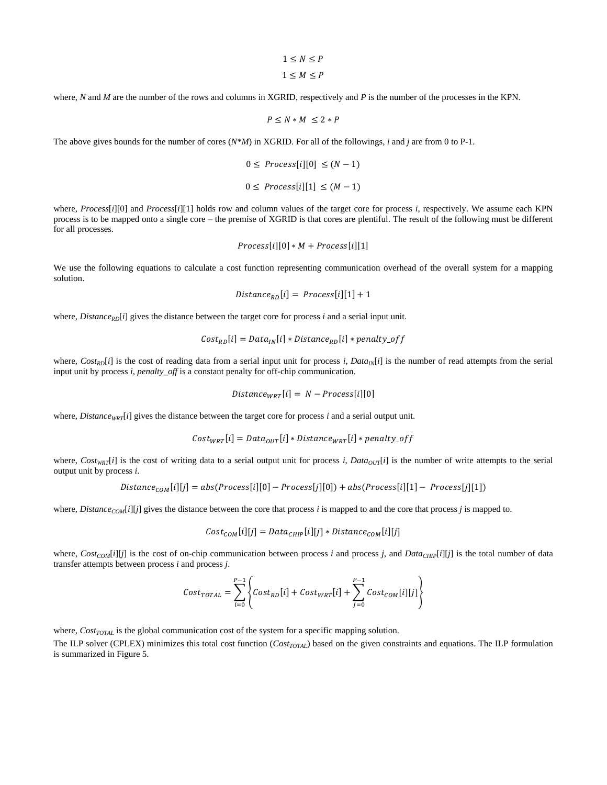$$
1 \leq N \leq P
$$
  

$$
1 \leq M \leq P
$$

where, *N* and *M* are the number of the rows and columns in XGRID, respectively and *P* is the number of the processes in the KPN.

$$
P\leq N*M\,\leq 2*P
$$

The above gives bounds for the number of cores (*N\*M*) in XGRID. For all of the followings, *i* and *j* are from 0 to P-1.

$$
0 \leq \text{Process}[i][0] \leq (N-1)
$$
  

$$
0 \leq \text{Process}[i][1] \leq (M-1)
$$

where, *Process*[*i*][0] and *Process*[*i*][1] holds row and column values of the target core for process *i*, respectively. We assume each KPN process is to be mapped onto a single core – the premise of XGRID is that cores are plentiful. The result of the following must be different for all processes.

$$
Process[i][0] * M + Process[i][1]
$$

We use the following equations to calculate a cost function representing communication overhead of the overall system for a mapping solution.

$$
Distance_{RD}[i] = Process[i][1] + 1
$$

where, *Distance<sub>RD</sub>*[*i*] gives the distance between the target core for process *i* and a serial input unit.

$$
Cost_{RD}[i] = Data_{IN}[i] * Distance_{RD}[i] * penalty_{off}
$$

where,  $Cost_{RD}[i]$  is the cost of reading data from a serial input unit for process *i*,  $Data_{IN}[i]$  is the number of read attempts from the serial input unit by process *i*, *penalty\_off* is a constant penalty for off-chip communication.

$$
Distance_{WRT}[i] = N - Process[i][0]
$$

where, *Distance*<sub>WRT</sub>[*i*] gives the distance between the target core for process *i* and a serial output unit.

$$
Cost_{WRT}[i] = Data_{OUT}[i] * Distance_{WRT}[i] * penalty\_off
$$

where,  $Cost_{WRT}[i]$  is the cost of writing data to a serial output unit for process *i*,  $Data_{OUT}[i]$  is the number of write attempts to the serial output unit by process *i*.

$$
Distance_{COM}[i][j] = abs(Process[i][0] - Process[j][0]) + abs(Process[i][1] - Process[j][1])
$$

where, *DistanceCOM*[*i*][*j*] gives the distance between the core that process *i* is mapped to and the core that process *j* is mapped to.

$$
Cost_{COM}[i][j] = Data_{CHIP}[i][j] * Distance_{COM}[i][j]
$$

where,  $Cost_{COM}[i][j]$  is the cost of on-chip communication between process *i* and process *j*, and *Data<sub>CHIP</sub>*[*i*][*j*] is the total number of data transfer attempts between process *i* and process *j*.

$$
Cost_{TOTAL} = \sum_{i=0}^{P-1} \left\{ Cost_{RD}[i] + Cost_{WRT}[i] + \sum_{j=0}^{P-1} Cost_{COM}[i][j] \right\}
$$

where, *Cost<sub>TOTAL</sub>* is the global communication cost of the system for a specific mapping solution.

The ILP solver (CPLEX) minimizes this total cost function (*CostTOTAL*) based on the given constraints and equations. The ILP formulation is summarized in Figure 5.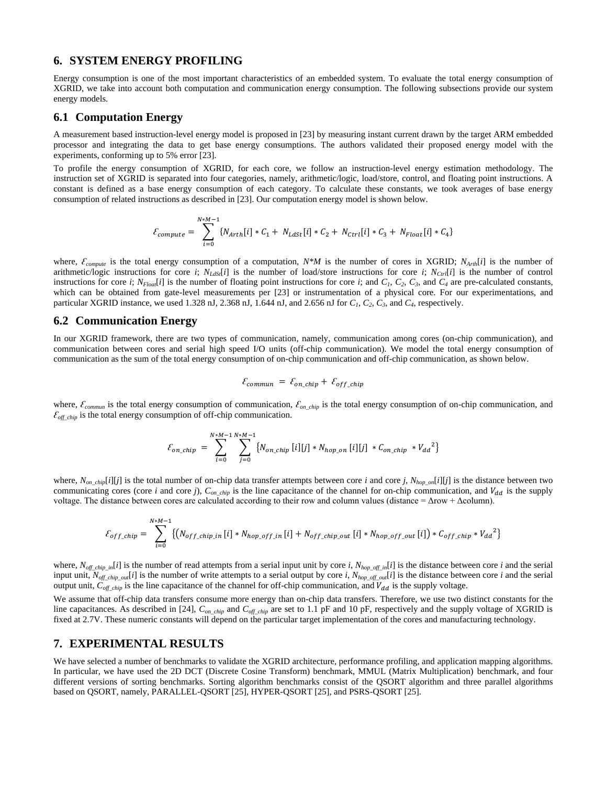#### **6. SYSTEM ENERGY PROFILING**

Energy consumption is one of the most important characteristics of an embedded system. To evaluate the total energy consumption of XGRID, we take into account both computation and communication energy consumption. The following subsections provide our system energy models.

#### **6.1 Computation Energy**

A measurement based instruction-level energy model is proposed in [23] by measuring instant current drawn by the target ARM embedded processor and integrating the data to get base energy consumptions. The authors validated their proposed energy model with the experiments, conforming up to 5% error [23].

To profile the energy consumption of XGRID, for each core, we follow an instruction-level energy estimation methodology. The instruction set of XGRID is separated into four categories, namely, arithmetic/logic, load/store, control, and floating point instructions. A constant is defined as a base energy consumption of each category. To calculate these constants, we took averages of base energy consumption of related instructions as described in [23]. Our computation energy model is shown below.

$$
\mathcal{E}_{compute} = \sum_{i=0}^{N+M-1} \{N_{Arth}[i] * C_1 + N_{LdSt}[i] * C_2 + N_{ctrl}[i] * C_3 + N_{Float}[i] * C_4\}
$$

where,  $\mathcal{E}_{compute}$  is the total energy consumption of a computation,  $N*M$  is the number of cores in XGRID;  $N_{Arth}[i]$  is the number of arithmetic/logic instructions for core *i*;  $N_{LdS}[i]$  is the number of load/store instructions for core *i*;  $N_{Ctr}[i]$  is the number of control instructions for core i;  $N_{Floar}[i]$  is the number of floating point instructions for core i; and  $C_1$ ,  $C_2$ ,  $C_3$ , and  $C_4$  are pre-calculated constants, which can be obtained from gate-level measurements per [23] or instrumentation of a physical core. For our experimentations, and particular XGRID instance, we used 1.328 nJ, 2.368 nJ, 1.644 nJ, and 2.656 nJ for  $C_1$ ,  $C_2$ ,  $C_3$ , and  $C_4$ , respectively.

#### **6.2 Communication Energy**

In our XGRID framework, there are two types of communication, namely, communication among cores (on-chip communication), and communication between cores and serial high speed I/O units (off-chip communication). We model the total energy consumption of communication as the sum of the total energy consumption of on-chip communication and off-chip communication, as shown below.

$$
\mathcal{E}_{commun} = \mathcal{E}_{on\_chip} + \mathcal{E}_{off\_chip}
$$

where,  $\mathcal{E}_{common}$  is the total energy consumption of communication,  $\mathcal{E}_{on\_chip}$  is the total energy consumption of on-chip communication, and  $\mathcal{E}_{\text{off} \text{ chip}}$  is the total energy consumption of off-chip communication.

$$
\mathcal{E}_{on\_chip} = \sum_{i=0}^{N+M-1} \sum_{j=0}^{N+M-1} \{ N_{on\_chip} [i][j] * N_{hop\_on} [i][j] * C_{on\_chip} * V_{dd}^2 \}
$$

where,  $N_{on\_chip}[i][j]$  is the total number of on-chip data transfer attempts between core *i* and core *j*,  $N_{hop\_on}[i][j]$  is the distance between two communicating cores (core *i* and core *j*),  $C_{on\_chip}$  is the line capacitance of the channel for on-chip communication, and  $V_{dd}$  is the supply voltage. The distance between cores are calculated according to their row and column values (distance =  $\Delta$ row +  $\Delta$ column).

$$
\mathcal{E}_{off\_chip} = \sum_{i=0}^{N*M-1} \left\{ \left( N_{off\_chip\_in} \left[ i \right] * N_{hop\_off\_in} \left[ i \right] + N_{off\_chip\_out} \left[ i \right] * N_{hop\_off\_out} \left[ i \right] \right) * C_{off\_chip} * V_{dd}^2 \right\}
$$

where,  $N_{off\_chip\_in}[i]$  is the number of read attempts from a serial input unit by core *i*,  $N_{hop\_off\_in}[i]$  is the distance between core *i* and the serial input unit, *Noff\_chip\_out*[*i*] is the number of write attempts to a serial output by core *i*, *Nhop\_off\_out*[*i*] is the distance between core *i* and the serial output unit,  $C_{off\_chip}$  is the line capacitance of the channel for off-chip communication, and  $V_{dd}$  is the supply voltage.

We assume that off-chip data transfers consume more energy than on-chip data transfers. Therefore, we use two distinct constants for the line capacitances. As described in [24], *Con\_chip* and *Coff\_chip* are set to 1.1 pF and 10 pF, respectively and the supply voltage of XGRID is fixed at 2.7V. These numeric constants will depend on the particular target implementation of the cores and manufacturing technology.

#### **7. EXPERIMENTAL RESULTS**

We have selected a number of benchmarks to validate the XGRID architecture, performance profiling, and application mapping algorithms. In particular, we have used the 2D DCT (Discrete Cosine Transform) benchmark, MMUL (Matrix Multiplication) benchmark, and four different versions of sorting benchmarks. Sorting algorithm benchmarks consist of the QSORT algorithm and three parallel algorithms based on QSORT, namely, PARALLEL-QSORT [25], HYPER-QSORT [25], and PSRS-QSORT [25].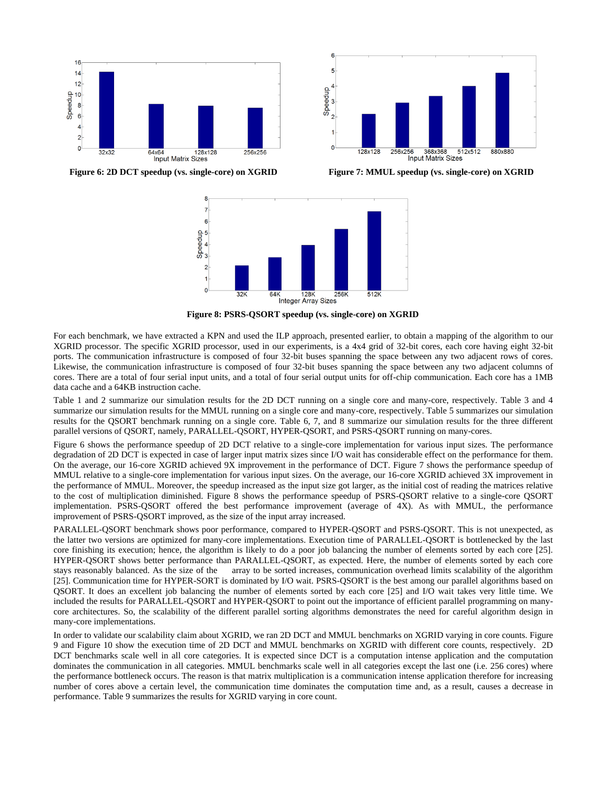

Speedup 3 128x128 256x256 368x368 51<br>Input Matrix Sizes 512x512 880x880

**Figure 6: 2D DCT speedup (vs. single-core) on XGRID** Figure 7: MMUL speedup (vs. single-core) on XGRID



**Figure 8: PSRS-QSORT speedup (vs. single-core) on XGRID**

For each benchmark, we have extracted a KPN and used the ILP approach, presented earlier, to obtain a mapping of the algorithm to our XGRID processor. The specific XGRID processor, used in our experiments, is a 4x4 grid of 32-bit cores, each core having eight 32-bit ports. The communication infrastructure is composed of four 32-bit buses spanning the space between any two adjacent rows of cores. Likewise, the communication infrastructure is composed of four 32-bit buses spanning the space between any two adjacent columns of cores. There are a total of four serial input units, and a total of four serial output units for off-chip communication. Each core has a 1MB data cache and a 64KB instruction cache.

Table 1 and 2 summarize our simulation results for the 2D DCT running on a single core and many-core, respectively. Table 3 and 4 summarize our simulation results for the MMUL running on a single core and many-core, respectively. Table 5 summarizes our simulation results for the QSORT benchmark running on a single core. Table 6, 7, and 8 summarize our simulation results for the three different parallel versions of QSORT, namely, PARALLEL-QSORT, HYPER-QSORT, and PSRS-QSORT running on many-cores.

Figure 6 shows the performance speedup of 2D DCT relative to a single-core implementation for various input sizes. The performance degradation of 2D DCT is expected in case of larger input matrix sizes since I/O wait has considerable effect on the performance for them. On the average, our 16-core XGRID achieved 9X improvement in the performance of DCT. Figure 7 shows the performance speedup of MMUL relative to a single-core implementation for various input sizes. On the average, our 16-core XGRID achieved 3X improvement in the performance of MMUL. Moreover, the speedup increased as the input size got larger, as the initial cost of reading the matrices relative to the cost of multiplication diminished. Figure 8 shows the performance speedup of PSRS-QSORT relative to a single-core QSORT implementation. PSRS-QSORT offered the best performance improvement (average of 4X). As with MMUL, the performance improvement of PSRS-QSORT improved, as the size of the input array increased.

PARALLEL-QSORT benchmark shows poor performance, compared to HYPER-QSORT and PSRS-QSORT. This is not unexpected, as the latter two versions are optimized for many-core implementations. Execution time of PARALLEL-QSORT is bottlenecked by the last core finishing its execution; hence, the algorithm is likely to do a poor job balancing the number of elements sorted by each core [25]. HYPER-QSORT shows better performance than PARALLEL-QSORT, as expected. Here, the number of elements sorted by each core stays reasonably balanced. As the size of the array to be sorted increases, communication overhead limits scalability of the algorithm [25]. Communication time for HYPER-SORT is dominated by I/O wait. PSRS-QSORT is the best among our parallel algorithms based on QSORT. It does an excellent job balancing the number of elements sorted by each core [25] and I/O wait takes very little time. We included the results for PARALLEL-QSORT and HYPER-QSORT to point out the importance of efficient parallel programming on manycore architectures. So, the scalability of the different parallel sorting algorithms demonstrates the need for careful algorithm design in many-core implementations.

In order to validate our scalability claim about XGRID, we ran 2D DCT and MMUL benchmarks on XGRID varying in core counts. Figure 9 and Figure 10 show the execution time of 2D DCT and MMUL benchmarks on XGRID with different core counts, respectively. 2D DCT benchmarks scale well in all core categories. It is expected since DCT is a computation intense application and the computation dominates the communication in all categories. MMUL benchmarks scale well in all categories except the last one (i.e. 256 cores) where the performance bottleneck occurs. The reason is that matrix multiplication is a communication intense application therefore for increasing number of cores above a certain level, the communication time dominates the computation time and, as a result, causes a decrease in performance. Table 9 summarizes the results for XGRID varying in core count.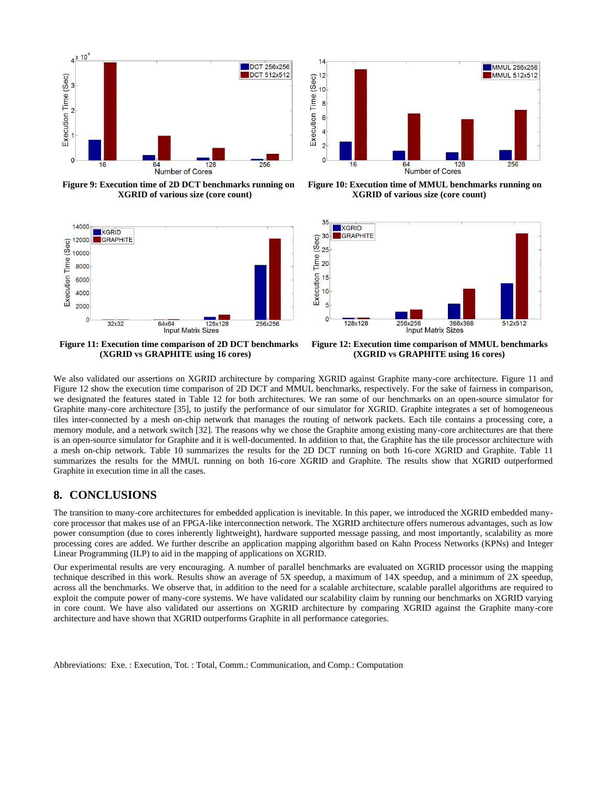

**Figure 9: Execution time of 2D DCT benchmarks running on Figure 10: Execution time of MMUL benchmarks running on** 



 **(XGRID vs GRAPHITE using 16 cores) (XGRID vs GRAPHITE using 16 cores)**



**XGRID of various size (core count) XGRID of various size (core count)**



 **Figure 11: Execution time comparison of 2D DCT benchmarks Figure 12: Execution time comparison of MMUL benchmarks** 

We also validated our assertions on XGRID architecture by comparing XGRID against Graphite many-core architecture. Figure 11 and Figure 12 show the execution time comparison of 2D DCT and MMUL benchmarks, respectively. For the sake of fairness in comparison, we designated the features stated in Table 12 for both architectures. We ran some of our benchmarks on an open-source simulator for Graphite many-core architecture [35], to justify the performance of our simulator for XGRID. Graphite integrates a set of homogeneous tiles inter-connected by a mesh on-chip network that manages the routing of network packets. Each tile contains a processing core, a memory module, and a network switch [32]. The reasons why we chose the Graphite among existing many-core architectures are that there is an open-source simulator for Graphite and it is well-documented. In addition to that, the Graphite has the tile processor architecture with a mesh on-chip network. Table 10 summarizes the results for the 2D DCT running on both 16-core XGRID and Graphite. Table 11 summarizes the results for the MMUL running on both 16-core XGRID and Graphite. The results show that XGRID outperformed Graphite in execution time in all the cases.

#### **8. CONCLUSIONS**

The transition to many-core architectures for embedded application is inevitable. In this paper, we introduced the XGRID embedded manycore processor that makes use of an FPGA-like interconnection network. The XGRID architecture offers numerous advantages, such as low power consumption (due to cores inherently lightweight), hardware supported message passing, and most importantly, scalability as more processing cores are added. We further describe an application mapping algorithm based on Kahn Process Networks (KPNs) and Integer Linear Programming (ILP) to aid in the mapping of applications on XGRID.

Our experimental results are very encouraging. A number of parallel benchmarks are evaluated on XGRID processor using the mapping technique described in this work. Results show an average of 5X speedup, a maximum of 14X speedup, and a minimum of 2X speedup, across all the benchmarks. We observe that, in addition to the need for a scalable architecture, scalable parallel algorithms are required to exploit the compute power of many-core systems. We have validated our scalability claim by running our benchmarks on XGRID varying in core count. We have also validated our assertions on XGRID architecture by comparing XGRID against the Graphite many-core architecture and have shown that XGRID outperforms Graphite in all performance categories.

Abbreviations: Exe. : Execution, Tot. : Total, Comm.: Communication, and Comp.: Computation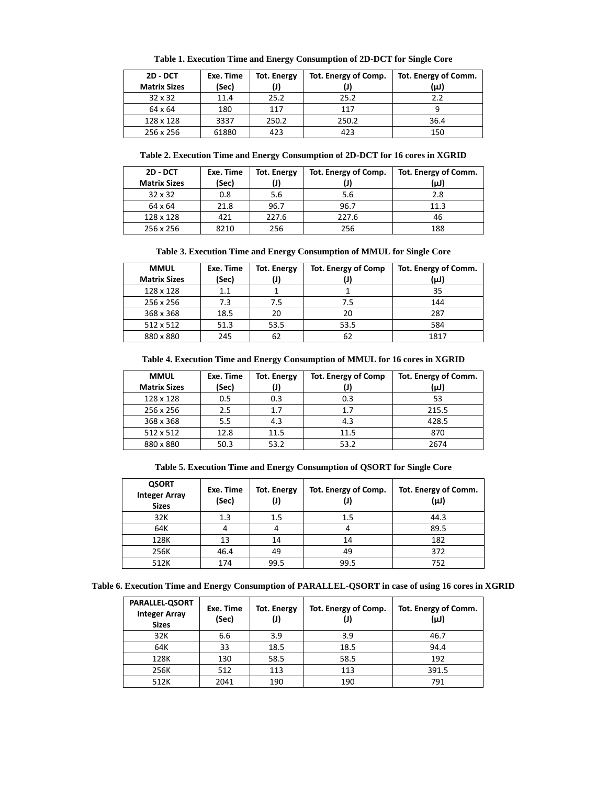| 2D - DCT            | Exe. Time | <b>Tot. Energy</b> | Tot. Energy of Comp. | Tot. Energy of Comm. |
|---------------------|-----------|--------------------|----------------------|----------------------|
| <b>Matrix Sizes</b> | (Sec)     | (J)                |                      | (µJ)                 |
| $32 \times 32$      | 11.4      | 25.2               | 25.2                 | 22                   |
| 64 x 64             | 180       | 117                | 117                  |                      |
| 128 x 128           | 3337      | 250.2              | 250.2                | 36.4                 |
| 256 x 256           | 61880     | 423                | 423                  | 150                  |

**Table 2. Execution Time and Energy Consumption of 2D-DCT for 16 cores in XGRID**

| 2D - DCT            | Exe. Time | <b>Tot. Energy</b> | Tot. Energy of Comp. | Tot. Energy of Comm. |
|---------------------|-----------|--------------------|----------------------|----------------------|
| <b>Matrix Sizes</b> | (Sec)     |                    |                      | (µJ)                 |
| $32 \times 32$      | 0.8       | 5.6                | 5.6                  | 2.8                  |
| 64 x 64             | 21.8      | 96.7               | 96.7                 | 11.3                 |
| 128 x 128           | 421       | 227.6              | 227.6                | 46                   |
| 256 x 256           | 8210      | 256                | 256                  | 188                  |

**Table 3. Execution Time and Energy Consumption of MMUL for Single Core**

| <b>MMUL</b><br><b>Matrix Sizes</b> | Exe. Time<br>(Sec) | Tot. Energy | <b>Tot. Energy of Comp</b> | Tot. Energy of Comm.<br>(µJ) |
|------------------------------------|--------------------|-------------|----------------------------|------------------------------|
| 128 x 128                          | 1.1                |             |                            | 35                           |
| 256 x 256                          | 7.3                | 7.5         | 7.5                        | 144                          |
| 368 x 368                          | 18.5               | 20          | 20                         | 287                          |
| 512 x 512                          | 51.3               | 53.5        | 53.5                       | 584                          |
| 880 x 880                          | 245                | 62          | 62                         | 1817                         |

**Table 4. Execution Time and Energy Consumption of MMUL for 16 cores in XGRID**

| <b>MMUL</b><br><b>Matrix Sizes</b> | Exe. Time<br>(Sec) | <b>Tot. Energy</b> | <b>Tot. Energy of Comp</b> | Tot. Energy of Comm.<br>(µJ) |
|------------------------------------|--------------------|--------------------|----------------------------|------------------------------|
| 128 x 128                          | 0.5                | 0.3                | 0.3                        | 53                           |
| 256 x 256                          | 2.5                | 1.7                | 1.7                        | 215.5                        |
| 368 x 368                          | 5.5                | 4.3                | 4.3                        | 428.5                        |
| 512 x 512                          | 12.8               | 11.5               | 11.5                       | 870                          |
| 880 x 880                          | 50.3               | 53.2               | 53.2                       | 2674                         |

| Table 5. Execution Time and Energy Consumption of QSORT for Single Core |  |  |  |  |  |  |  |  |  |
|-------------------------------------------------------------------------|--|--|--|--|--|--|--|--|--|
|-------------------------------------------------------------------------|--|--|--|--|--|--|--|--|--|

| <b>QSORT</b><br><b>Integer Array</b><br><b>Sizes</b> | Exe. Time<br>(Sec) | <b>Tot. Energy</b> | Tot. Energy of Comp.<br>U. | Tot. Energy of Comm.<br>(µJ) |
|------------------------------------------------------|--------------------|--------------------|----------------------------|------------------------------|
| 32K                                                  | 1.3                | 1.5                | 1.5                        | 44.3                         |
| 64K                                                  |                    |                    |                            | 89.5                         |
| 128K                                                 | 13                 | 14                 | 14                         | 182                          |
| 256K                                                 | 46.4               | 49                 | 49                         | 372                          |
| 512K                                                 | 174                | 99.5               | 99.5                       | 752                          |

|  |  | Table 6. Execution Time and Energy Consumption of PARALLEL-QSORT in case of using 16 cores in XGRID |
|--|--|-----------------------------------------------------------------------------------------------------|
|  |  |                                                                                                     |

| <b>PARALLEL-QSORT</b><br><b>Integer Array</b><br><b>Sizes</b> | Exe. Time<br>(Sec) | <b>Tot. Energy</b> | Tot. Energy of Comp.<br>(J) | Tot. Energy of Comm.<br>(µJ) |
|---------------------------------------------------------------|--------------------|--------------------|-----------------------------|------------------------------|
| 32K                                                           | 6.6                | 3.9                | 3.9                         | 46.7                         |
| 64K                                                           | 33                 | 18.5               | 18.5                        | 94.4                         |
| 128K                                                          | 130                | 58.5               | 58.5                        | 192                          |
| 256K                                                          | 512                | 113                | 113                         | 391.5                        |
| 512K                                                          | 2041               | 190                | 190                         | 791                          |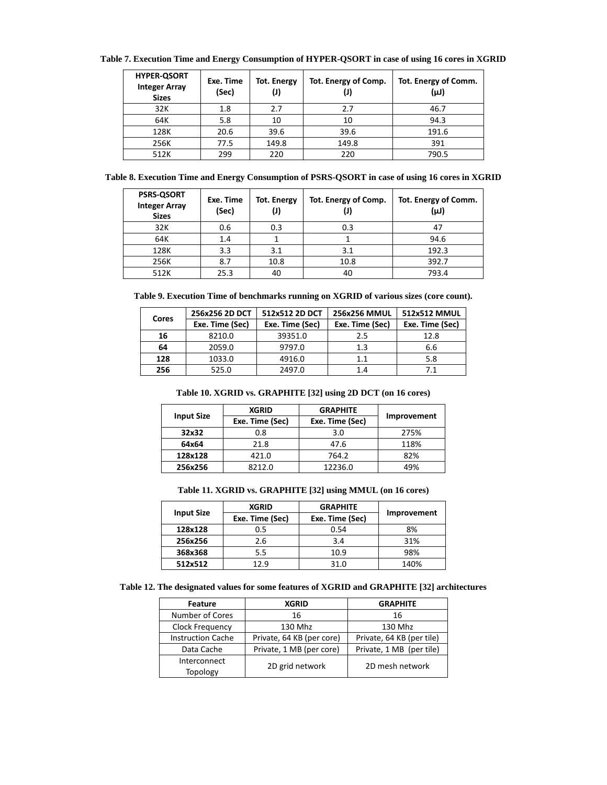| Table 7. Execution Time and Energy Consumption of HYPER-QSORT in case of using 16 cores in XGRID |
|--------------------------------------------------------------------------------------------------|
|--------------------------------------------------------------------------------------------------|

| <b>HYPER-QSORT</b><br><b>Integer Array</b><br><b>Sizes</b> | Exe. Time<br>(Sec) | <b>Tot. Energy</b><br>(J) | Tot. Energy of Comp. | Tot. Energy of Comm.<br>(µJ) |
|------------------------------------------------------------|--------------------|---------------------------|----------------------|------------------------------|
| 32K                                                        | 1.8                | 2.7                       | 2.7                  | 46.7                         |
| 64K                                                        | 5.8                | 10                        | 10                   | 94.3                         |
| 128K                                                       | 20.6               | 39.6                      | 39.6                 | 191.6                        |
| 256K                                                       | 77.5               | 149.8                     | 149.8                | 391                          |
| 512K                                                       | 299                | 220                       | 220                  | 790.5                        |

|  | Table 8. Execution Time and Energy Consumption of PSRS-QSORT in case of using 16 cores in XGRID |  |  |
|--|-------------------------------------------------------------------------------------------------|--|--|
|  |                                                                                                 |  |  |

| <b>PSRS-QSORT</b><br><b>Integer Array</b><br><b>Sizes</b> | Exe. Time<br>(Sec) | <b>Tot. Energy</b> | Tot. Energy of Comp. | Tot. Energy of Comm.<br>(µJ) |
|-----------------------------------------------------------|--------------------|--------------------|----------------------|------------------------------|
| 32K                                                       | 0.6                | 0.3                | 0.3                  |                              |
| 64K                                                       | 1.4                |                    |                      | 94.6                         |
| 128K                                                      | 3.3                | 3.1                | 3.1                  | 192.3                        |
| 256K                                                      | 8.7                | 10.8               | 10.8                 | 392.7                        |
| 512K                                                      | 25.3               | 40                 | 40                   | 793.4                        |

**Table 9. Execution Time of benchmarks running on XGRID of various sizes (core count).**

|       | 256x256 2D DCT  | 512x512 2D DCT  | 256x256 MMUL    | 512x512 MMUL    |
|-------|-----------------|-----------------|-----------------|-----------------|
| Cores | Exe. Time (Sec) | Exe. Time (Sec) | Exe. Time (Sec) | Exe. Time (Sec) |
| 16    | 8210.0          | 39351.0         | 2.5             | 12.8            |
| 64    | 2059.0          | 9797.0          | 1.3             | 6.6             |
| 128   | 1033.0          | 4916.0          | 1.1             | 5.8             |
| 256   | 525.0           | 2497.0          | 1.4             | 7.1             |

**Table 10. XGRID vs. GRAPHITE [32] using 2D DCT (on 16 cores)**

| <b>Input Size</b> | <b>XGRID</b>    | <b>GRAPHITE</b> |             |
|-------------------|-----------------|-----------------|-------------|
|                   | Exe. Time (Sec) | Exe. Time (Sec) | Improvement |
| 32x32             | 0.8             | 3.0             | 275%        |
| 64x64             | 21.8            | 47.6            | 118%        |
| 128x128           | 421.0           | 764.2           | 82%         |
| 256x256           | 8212.0          | 12236.0         | 49%         |

**Table 11. XGRID vs. GRAPHITE [32] using MMUL (on 16 cores)**

|                   | <b>XGRID</b>    | <b>GRAPHITE</b> |             |
|-------------------|-----------------|-----------------|-------------|
| <b>Input Size</b> | Exe. Time (Sec) | Exe. Time (Sec) | Improvement |
| 128x128           | 0.5             | 0.54            | 8%          |
| 256x256           | 2.6             | 3.4             | 31%         |
| 368x368           | 5.5             | 10.9            | 98%         |
| 512x512           | 12.9            | 31.0            | 140%        |

**Table 12. The designated values for some features of XGRID and GRAPHITE [32] architectures**

| <b>Feature</b>           | <b>XGRID</b>              | <b>GRAPHITE</b>           |
|--------------------------|---------------------------|---------------------------|
| Number of Cores          | 16                        | 16                        |
| Clock Frequency          | 130 Mhz                   | 130 Mhz                   |
| <b>Instruction Cache</b> | Private, 64 KB (per core) | Private, 64 KB (per tile) |
| Data Cache               | Private, 1 MB (per core)  | Private, 1 MB (per tile)  |
| Interconnect<br>Topology | 2D grid network           | 2D mesh network           |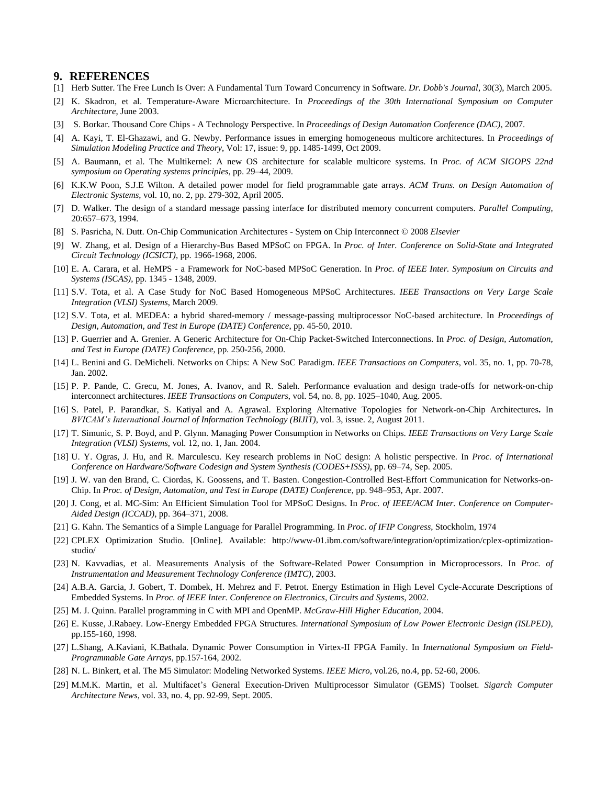#### **9. REFERENCES**

- [1] Herb Sutter. The Free Lunch Is Over: A Fundamental Turn Toward Concurrency in Software. *Dr. Dobb's Journal*, 30(3), March 2005.
- [2] K. Skadron, et al. Temperature-Aware Microarchitecture. In *Proceedings of the 30th International Symposium on Computer Architecture*, June 2003.
- [3] S. Borkar. Thousand Core Chips A Technology Perspective. In *Proceedings of Design Automation Conference (DAC)*, 2007.
- [4] A. Kayi, T. El-Ghazawi, and G. Newby. Performance issues in emerging homogeneous multicore architectures. In *Proceedings of Simulation Modeling Practice and Theory*, Vol: 17, issue: 9, pp. 1485-1499, Oct 2009.
- [5] A. Baumann, et al. The Multikernel: A new OS architecture for scalable multicore systems. In *Proc. of ACM SIGOPS 22nd symposium on Operating systems principles*, pp. 29–44, 2009.
- [6] K.K.W Poon, S.J.E Wilton. A detailed power model for field programmable gate arrays. *ACM Trans. on Design Automation of Electronic Systems*, vol. 10, no. 2, pp. 279-302, April 2005.
- [7] D. Walker. The design of a standard message passing interface for distributed memory concurrent computers. *Parallel Computing*, 20:657–673, 1994.
- [8] S. Pasricha, N. Dutt. On-Chip Communication Architectures System on Chip Interconnect © 2008 *Elsevier*
- [9] W. Zhang, et al. Design of a Hierarchy-Bus Based MPSoC on FPGA. In *Proc. of Inter. Conference on Solid-State and Integrated Circuit Technology (ICSICT)*, pp. 1966-1968, 2006.
- [10] E. A. Carara, et al. HeMPS a Framework for NoC-based MPSoC Generation. In *Proc. of IEEE Inter. Symposium on Circuits and Systems (ISCAS)*, pp. 1345 - 1348, 2009.
- [11] S.V. Tota, et al. A Case Study for NoC Based Homogeneous MPSoC Architectures. *IEEE Transactions on Very Large Scale Integration (VLSI) Systems*, March 2009.
- [12] S.V. Tota, et al. MEDEA: a hybrid shared-memory / message-passing multiprocessor NoC-based architecture. In *Proceedings of Design, Automation, and Test in Europe (DATE) Conference*, pp. 45-50, 2010.
- [13] P. Guerrier and A. Grenier. A Generic Architecture for On-Chip Packet-Switched Interconnections. In *Proc. of Design, Automation, and Test in Europe (DATE) Conference*, pp. 250-256, 2000.
- [14] L. Benini and G. DeMicheli. Networks on Chips: A New SoC Paradigm. *IEEE Transactions on Computers*, vol. 35, no. 1, pp. 70-78, Jan. 2002.
- [15] P. P. Pande, C. Grecu, M. Jones, A. Ivanov, and R. Saleh. Performance evaluation and design trade-offs for network-on-chip interconnect architectures. *IEEE Transactions on Computers*, vol. 54, no. 8, pp. 1025–1040, Aug. 2005.
- [16] S. Patel, P. Parandkar, S. Katiyal and A. Agrawal. Exploring Alternative Topologies for Network-on-Chip Architectures**.** In *BVICAM's International Journal of Information Technology (BIJIT)*, vol. 3, issue. 2, August 2011.
- [17] T. Simunic, S. P. Boyd, and P. Glynn. Managing Power Consumption in Networks on Chips. *IEEE Transactions on Very Large Scale Integration (VLSI) Systems*, vol. 12, no. 1, Jan. 2004.
- [18] U. Y. Ogras, J. Hu, and R. Marculescu. Key research problems in NoC design: A holistic perspective. In *Proc. of International Conference on Hardware/Software Codesign and System Synthesis (CODES+ISSS)*, pp. 69–74, Sep. 2005.
- [19] J. W. van den Brand, C. Ciordas, K. Goossens, and T. Basten. Congestion-Controlled Best-Effort Communication for Networks-on-Chip. In *Proc. of Design, Automation, and Test in Europe (DATE) Conference*, pp. 948–953, Apr. 2007.
- [20] J. Cong, et al. MC-Sim: An Efficient Simulation Tool for MPSoC Designs. In *Proc. of IEEE/ACM Inter. Conference on Computer-Aided Design (ICCAD)*, pp. 364–371, 2008.
- [21] G. Kahn. The Semantics of a Simple Language for Parallel Programming. In *Proc. of IFIP Congress*, Stockholm, 1974
- [22] CPLEX Optimization Studio. [Online]. Available: http://www-01.ibm.com/software/integration/optimization/cplex-optimizationstudio/
- [23] N. Kavvadias, et al. Measurements Analysis of the Software-Related Power Consumption in Microprocessors. In *Proc. of Instrumentation and Measurement Technology Conference (IMTC)*, 2003.
- [24] A.B.A. Garcia, J. Gobert, T. Dombek, H. Mehrez and F. Petrot. Energy Estimation in High Level Cycle-Accurate Descriptions of Embedded Systems. In *Proc. of IEEE Inter. Conference on Electronics, Circuits and Systems*, 2002.
- [25] M. J. Quinn. Parallel programming in C with MPI and OpenMP. *McGraw-Hill Higher Education*, 2004.
- [26] E. Kusse, J.Rabaey. Low-Energy Embedded FPGA Structures. *International Symposium of Low Power Electronic Design (ISLPED)*, pp.155-160, 1998.
- [27] L.Shang, A.Kaviani, K.Bathala. Dynamic Power Consumption in Virtex-II FPGA Family. In *International Symposium on Field-Programmable Gate Arrays*, pp.157-164, 2002.
- [28] N. L. Binkert, et al. The M5 Simulator: Modeling Networked Systems. *IEEE Micro*, vol.26, no.4, pp. 52-60, 2006.
- [29] M.M.K. Martin, et al. Multifacet's General Execution-Driven Multiprocessor Simulator (GEMS) Toolset. *Sigarch Computer Architecture News*, vol. 33, no. 4, pp. 92-99, Sept. 2005.